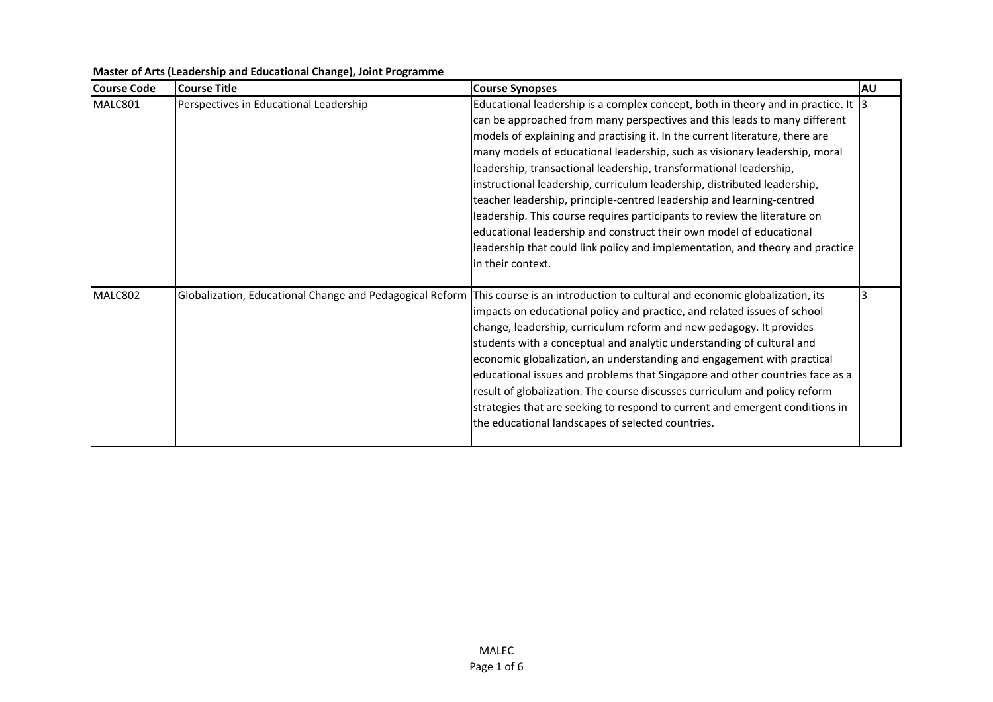| Course Code | Course Title                                             | <b>Course Synopses</b>                                                            | AU |
|-------------|----------------------------------------------------------|-----------------------------------------------------------------------------------|----|
| MALC801     | Perspectives in Educational Leadership                   | Educational leadership is a complex concept, both in theory and in practice. It 3 |    |
|             |                                                          | can be approached from many perspectives and this leads to many different         |    |
|             |                                                          | models of explaining and practising it. In the current literature, there are      |    |
|             |                                                          | many models of educational leadership, such as visionary leadership, moral        |    |
|             |                                                          | leadership, transactional leadership, transformational leadership,                |    |
|             |                                                          | instructional leadership, curriculum leadership, distributed leadership,          |    |
|             |                                                          | teacher leadership, principle-centred leadership and learning-centred             |    |
|             |                                                          | leadership. This course requires participants to review the literature on         |    |
|             |                                                          | educational leadership and construct their own model of educational               |    |
|             |                                                          | leadership that could link policy and implementation, and theory and practice     |    |
|             |                                                          | In their context.                                                                 |    |
|             |                                                          |                                                                                   |    |
| MALC802     | Globalization, Educational Change and Pedagogical Reform | This course is an introduction to cultural and economic globalization, its        |    |
|             |                                                          | impacts on educational policy and practice, and related issues of school          |    |
|             |                                                          | change, leadership, curriculum reform and new pedagogy. It provides               |    |
|             |                                                          | students with a conceptual and analytic understanding of cultural and             |    |
|             |                                                          | economic globalization, an understanding and engagement with practical            |    |
|             |                                                          | educational issues and problems that Singapore and other countries face as a      |    |
|             |                                                          | result of globalization. The course discusses curriculum and policy reform        |    |
|             |                                                          | strategies that are seeking to respond to current and emergent conditions in      |    |
|             |                                                          | the educational landscapes of selected countries.                                 |    |
|             |                                                          |                                                                                   |    |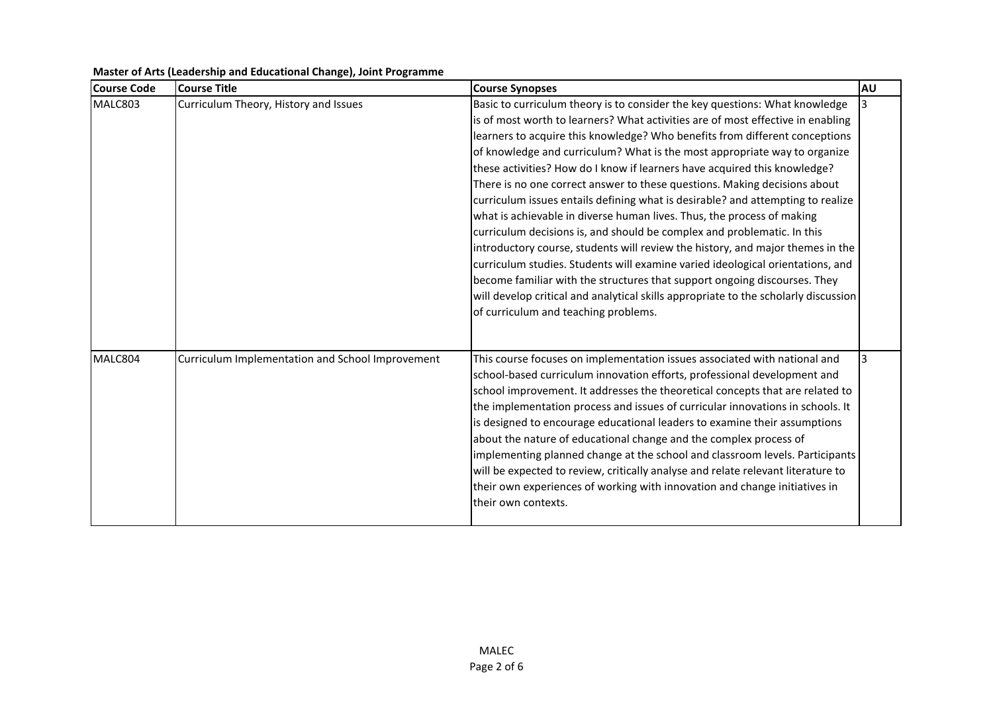| <b>Course Code</b> | <b>Course Title</b>                              | <b>Course Synopses</b>                                                              | <b>AU</b> |
|--------------------|--------------------------------------------------|-------------------------------------------------------------------------------------|-----------|
| MALC803            | Curriculum Theory, History and Issues            | Basic to curriculum theory is to consider the key questions: What knowledge         |           |
|                    |                                                  | is of most worth to learners? What activities are of most effective in enabling     |           |
|                    |                                                  | learners to acquire this knowledge? Who benefits from different conceptions         |           |
|                    |                                                  | of knowledge and curriculum? What is the most appropriate way to organize           |           |
|                    |                                                  | these activities? How do I know if learners have acquired this knowledge?           |           |
|                    |                                                  | There is no one correct answer to these questions. Making decisions about           |           |
|                    |                                                  | curriculum issues entails defining what is desirable? and attempting to realize     |           |
|                    |                                                  | what is achievable in diverse human lives. Thus, the process of making              |           |
|                    |                                                  | curriculum decisions is, and should be complex and problematic. In this             |           |
|                    |                                                  | introductory course, students will review the history, and major themes in the      |           |
|                    |                                                  | curriculum studies. Students will examine varied ideological orientations, and      |           |
|                    |                                                  | become familiar with the structures that support ongoing discourses. They           |           |
|                    |                                                  | will develop critical and analytical skills appropriate to the scholarly discussion |           |
|                    |                                                  | of curriculum and teaching problems.                                                |           |
| MALC804            | Curriculum Implementation and School Improvement | This course focuses on implementation issues associated with national and           |           |
|                    |                                                  | school-based curriculum innovation efforts, professional development and            |           |
|                    |                                                  | school improvement. It addresses the theoretical concepts that are related to       |           |
|                    |                                                  | the implementation process and issues of curricular innovations in schools. It      |           |
|                    |                                                  | is designed to encourage educational leaders to examine their assumptions           |           |
|                    |                                                  | about the nature of educational change and the complex process of                   |           |
|                    |                                                  | implementing planned change at the school and classroom levels. Participants        |           |
|                    |                                                  | will be expected to review, critically analyse and relate relevant literature to    |           |
|                    |                                                  | their own experiences of working with innovation and change initiatives in          |           |
|                    |                                                  | their own contexts.                                                                 |           |
|                    |                                                  |                                                                                     |           |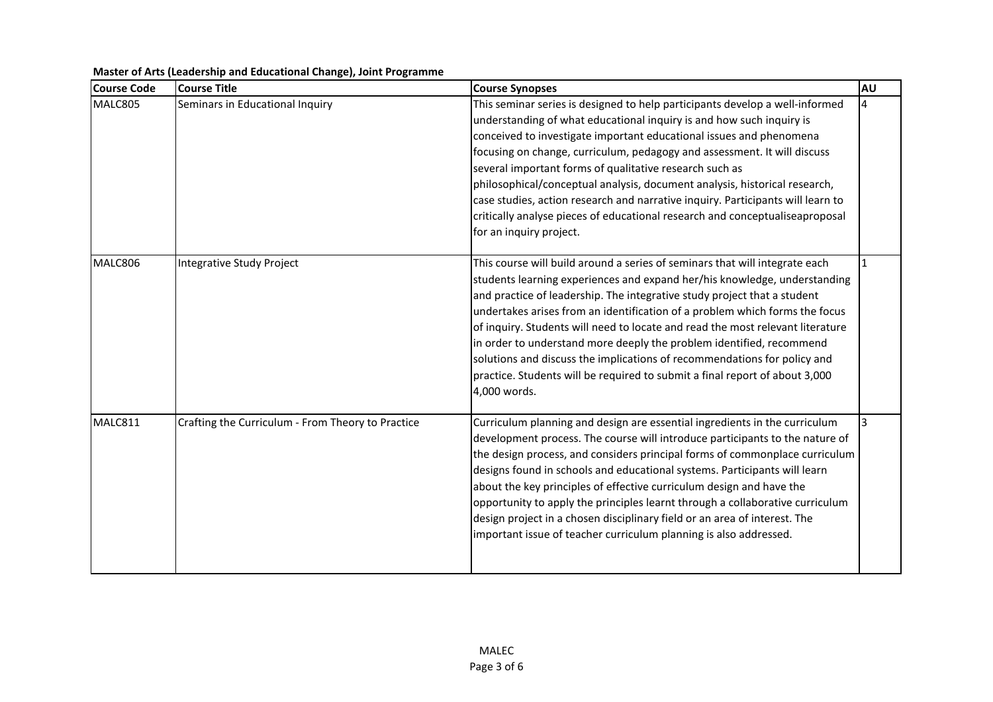| <b>Course Code</b> | <b>Course Title</b>                               | <b>Course Synopses</b>                                                                                                                                                                                                                                                                                                                                                                                                                                                                                                                                                                                                                                   | AU |
|--------------------|---------------------------------------------------|----------------------------------------------------------------------------------------------------------------------------------------------------------------------------------------------------------------------------------------------------------------------------------------------------------------------------------------------------------------------------------------------------------------------------------------------------------------------------------------------------------------------------------------------------------------------------------------------------------------------------------------------------------|----|
| MALC805            | Seminars in Educational Inquiry                   | This seminar series is designed to help participants develop a well-informed<br>understanding of what educational inquiry is and how such inquiry is<br>conceived to investigate important educational issues and phenomena<br>focusing on change, curriculum, pedagogy and assessment. It will discuss<br>several important forms of qualitative research such as<br>philosophical/conceptual analysis, document analysis, historical research,<br>case studies, action research and narrative inquiry. Participants will learn to<br>critically analyse pieces of educational research and conceptualiseaproposal<br>for an inquiry project.           |    |
| MALC806            | Integrative Study Project                         | This course will build around a series of seminars that will integrate each<br>students learning experiences and expand her/his knowledge, understanding<br>and practice of leadership. The integrative study project that a student<br>undertakes arises from an identification of a problem which forms the focus<br>of inquiry. Students will need to locate and read the most relevant literature<br>in order to understand more deeply the problem identified, recommend<br>solutions and discuss the implications of recommendations for policy and<br>practice. Students will be required to submit a final report of about 3,000<br>4,000 words. |    |
| MALC811            | Crafting the Curriculum - From Theory to Practice | Curriculum planning and design are essential ingredients in the curriculum<br>development process. The course will introduce participants to the nature of<br>the design process, and considers principal forms of commonplace curriculum<br>designs found in schools and educational systems. Participants will learn<br>about the key principles of effective curriculum design and have the<br>opportunity to apply the principles learnt through a collaborative curriculum<br>design project in a chosen disciplinary field or an area of interest. The<br>important issue of teacher curriculum planning is also addressed.                        | 3  |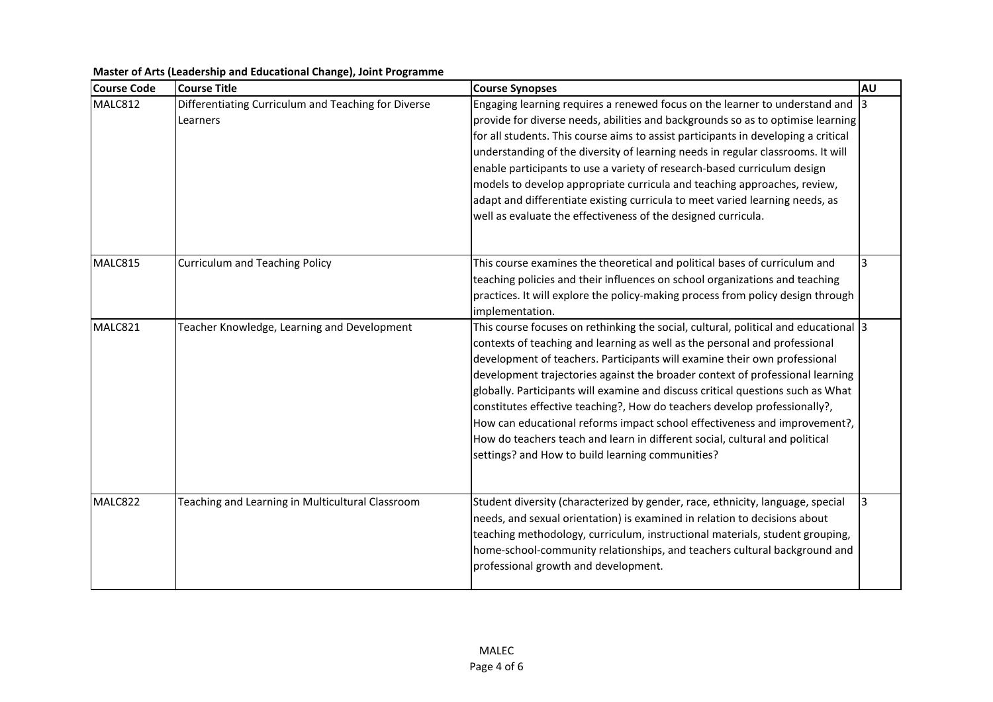| <b>Course Code</b> | <b>Course Title</b>                                             | <b>Course Synopses</b>                                                                                                                                                                                                                                                                                                                                                                                                                                                                                                                                                                                                                                                                                          | <b>AU</b> |
|--------------------|-----------------------------------------------------------------|-----------------------------------------------------------------------------------------------------------------------------------------------------------------------------------------------------------------------------------------------------------------------------------------------------------------------------------------------------------------------------------------------------------------------------------------------------------------------------------------------------------------------------------------------------------------------------------------------------------------------------------------------------------------------------------------------------------------|-----------|
| MALC812            | Differentiating Curriculum and Teaching for Diverse<br>Learners | Engaging learning requires a renewed focus on the learner to understand and 3<br>provide for diverse needs, abilities and backgrounds so as to optimise learning<br>for all students. This course aims to assist participants in developing a critical<br>understanding of the diversity of learning needs in regular classrooms. It will<br>enable participants to use a variety of research-based curriculum design<br>models to develop appropriate curricula and teaching approaches, review,<br>adapt and differentiate existing curricula to meet varied learning needs, as<br>well as evaluate the effectiveness of the designed curricula.                                                              |           |
| MALC815            | Curriculum and Teaching Policy                                  | This course examines the theoretical and political bases of curriculum and<br>teaching policies and their influences on school organizations and teaching<br>practices. It will explore the policy-making process from policy design through<br>implementation.                                                                                                                                                                                                                                                                                                                                                                                                                                                 |           |
| MALC821            | Teacher Knowledge, Learning and Development                     | This course focuses on rethinking the social, cultural, political and educational 3<br>contexts of teaching and learning as well as the personal and professional<br>development of teachers. Participants will examine their own professional<br>development trajectories against the broader context of professional learning<br>globally. Participants will examine and discuss critical questions such as What<br>constitutes effective teaching?, How do teachers develop professionally?,<br>How can educational reforms impact school effectiveness and improvement?,<br>How do teachers teach and learn in different social, cultural and political<br>settings? and How to build learning communities? |           |
| MALC822            | Teaching and Learning in Multicultural Classroom                | Student diversity (characterized by gender, race, ethnicity, language, special<br>needs, and sexual orientation) is examined in relation to decisions about<br>teaching methodology, curriculum, instructional materials, student grouping,<br>home-school-community relationships, and teachers cultural background and<br>professional growth and development.                                                                                                                                                                                                                                                                                                                                                | 3         |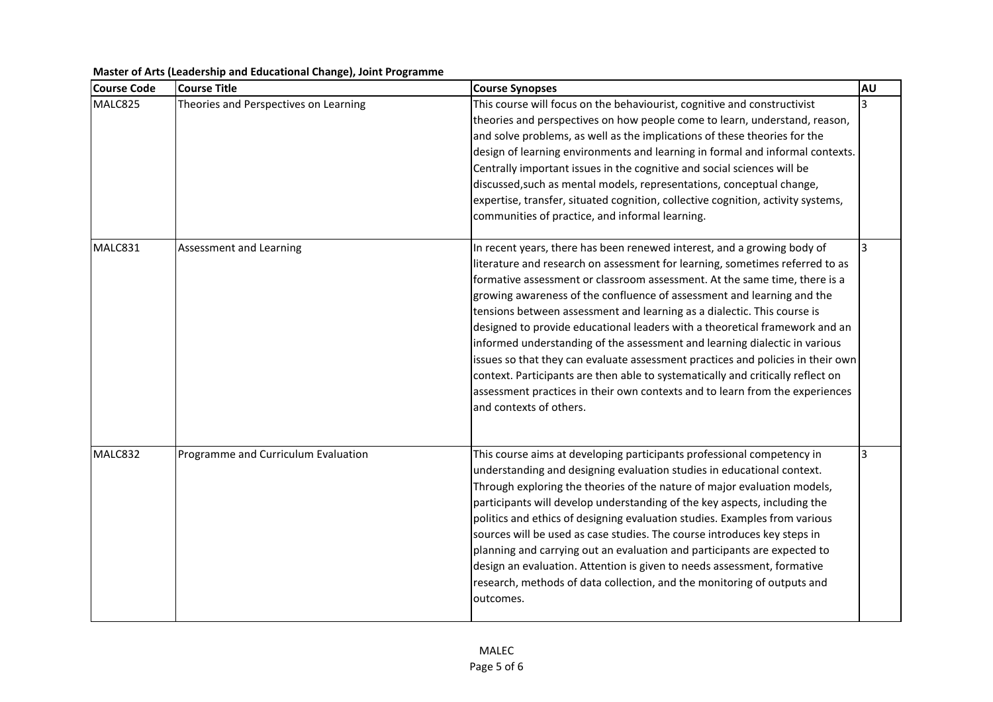| <b>Course Code</b> | <b>Course Title</b>                   | <b>Course Synopses</b>                                                                                                                                                                                                                                                                                                                                                                                                                                                                                                                                                                                                                                                                                                                                                                                                                   | <b>AU</b>      |
|--------------------|---------------------------------------|------------------------------------------------------------------------------------------------------------------------------------------------------------------------------------------------------------------------------------------------------------------------------------------------------------------------------------------------------------------------------------------------------------------------------------------------------------------------------------------------------------------------------------------------------------------------------------------------------------------------------------------------------------------------------------------------------------------------------------------------------------------------------------------------------------------------------------------|----------------|
| MALC825            | Theories and Perspectives on Learning | This course will focus on the behaviourist, cognitive and constructivist<br>theories and perspectives on how people come to learn, understand, reason,<br>and solve problems, as well as the implications of these theories for the<br>design of learning environments and learning in formal and informal contexts.<br>Centrally important issues in the cognitive and social sciences will be<br>discussed, such as mental models, representations, conceptual change,<br>expertise, transfer, situated cognition, collective cognition, activity systems,<br>communities of practice, and informal learning.                                                                                                                                                                                                                          | 3              |
| MALC831            | Assessment and Learning               | In recent years, there has been renewed interest, and a growing body of<br>literature and research on assessment for learning, sometimes referred to as<br>formative assessment or classroom assessment. At the same time, there is a<br>growing awareness of the confluence of assessment and learning and the<br>tensions between assessment and learning as a dialectic. This course is<br>designed to provide educational leaders with a theoretical framework and an<br>informed understanding of the assessment and learning dialectic in various<br>issues so that they can evaluate assessment practices and policies in their own<br>context. Participants are then able to systematically and critically reflect on<br>assessment practices in their own contexts and to learn from the experiences<br>and contexts of others. | $\overline{3}$ |
| MALC832            | Programme and Curriculum Evaluation   | This course aims at developing participants professional competency in<br>understanding and designing evaluation studies in educational context.<br>Through exploring the theories of the nature of major evaluation models,<br>participants will develop understanding of the key aspects, including the<br>politics and ethics of designing evaluation studies. Examples from various<br>sources will be used as case studies. The course introduces key steps in<br>planning and carrying out an evaluation and participants are expected to<br>design an evaluation. Attention is given to needs assessment, formative<br>research, methods of data collection, and the monitoring of outputs and<br>outcomes.                                                                                                                       | 3              |